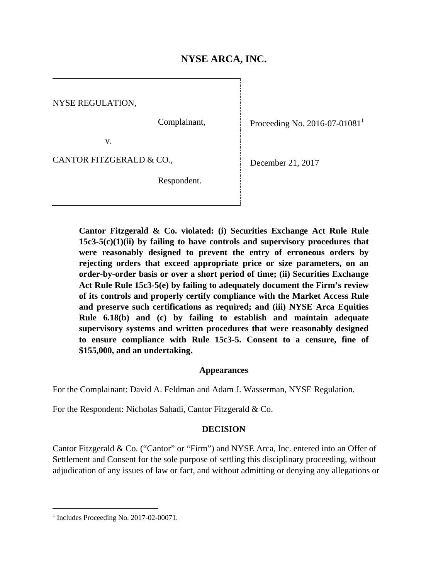i<br>!

NYSE REGULATION,

Complainant,

Respondent.

Proceeding No. 2016-07-01081<sup>1</sup>

v.

CANTOR FITZGERALD & CO.,

December 21, 2017

**Cantor Fitzgerald & Co. violated: (i) Securities Exchange Act Rule Rule 15c3-5(c)(1)(ii) by failing to have controls and supervisory procedures that were reasonably designed to prevent the entry of erroneous orders by rejecting orders that exceed appropriate price or size parameters, on an order-by-order basis or over a short period of time; (ii) Securities Exchange Act Rule Rule 15c3-5(e) by failing to adequately document the Firm's review of its controls and properly certify compliance with the Market Access Rule and preserve such certifications as required; and (iii) NYSE Arca Equities Rule 6.18(b) and (c) by failing to establish and maintain adequate supervisory systems and written procedures that were reasonably designed to ensure compliance with Rule 15c3-5. Consent to a censure, fine of \$155,000, and an undertaking.** 

### **Appearances**

For the Complainant: David A. Feldman and Adam J. Wasserman, NYSE Regulation.

For the Respondent: Nicholas Sahadi, Cantor Fitzgerald & Co.

### **DECISION**

Cantor Fitzgerald & Co. ("Cantor" or "Firm") and NYSE Arca, Inc. entered into an Offer of Settlement and Consent for the sole purpose of settling this disciplinary proceeding, without adjudication of any issues of law or fact, and without admitting or denying any allegations or

 $\overline{a}$ 

<sup>1</sup> Includes Proceeding No. 2017-02-00071.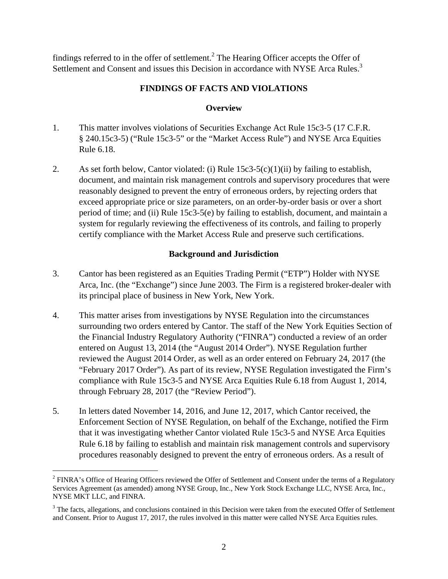findings referred to in the offer of settlement.<sup>2</sup> The Hearing Officer accepts the Offer of Settlement and Consent and issues this Decision in accordance with NYSE Arca Rules.<sup>3</sup>

# **FINDINGS OF FACTS AND VIOLATIONS**

## **Overview**

- 1. This matter involves violations of Securities Exchange Act Rule 15c3-5 (17 C.F.R. § 240.15c3-5) ("Rule 15c3-5" or the "Market Access Rule") and NYSE Arca Equities Rule 6.18.
- 2. As set forth below, Cantor violated: (i) Rule  $15c3-5(c)(1)(ii)$  by failing to establish, document, and maintain risk management controls and supervisory procedures that were reasonably designed to prevent the entry of erroneous orders, by rejecting orders that exceed appropriate price or size parameters, on an order-by-order basis or over a short period of time; and (ii) Rule 15c3-5(e) by failing to establish, document, and maintain a system for regularly reviewing the effectiveness of its controls, and failing to properly certify compliance with the Market Access Rule and preserve such certifications.

## **Background and Jurisdiction**

- 3. Cantor has been registered as an Equities Trading Permit ("ETP") Holder with NYSE Arca, Inc. (the "Exchange") since June 2003. The Firm is a registered broker-dealer with its principal place of business in New York, New York.
- 4. This matter arises from investigations by NYSE Regulation into the circumstances surrounding two orders entered by Cantor. The staff of the New York Equities Section of the Financial Industry Regulatory Authority ("FINRA") conducted a review of an order entered on August 13, 2014 (the "August 2014 Order"). NYSE Regulation further reviewed the August 2014 Order, as well as an order entered on February 24, 2017 (the "February 2017 Order"). As part of its review, NYSE Regulation investigated the Firm's compliance with Rule 15c3-5 and NYSE Arca Equities Rule 6.18 from August 1, 2014, through February 28, 2017 (the "Review Period").
- 5. In letters dated November 14, 2016, and June 12, 2017, which Cantor received, the Enforcement Section of NYSE Regulation, on behalf of the Exchange, notified the Firm that it was investigating whether Cantor violated Rule 15c3-5 and NYSE Arca Equities Rule 6.18 by failing to establish and maintain risk management controls and supervisory procedures reasonably designed to prevent the entry of erroneous orders. As a result of

1

 $2$  FINRA's Office of Hearing Officers reviewed the Offer of Settlement and Consent under the terms of a Regulatory Services Agreement (as amended) among NYSE Group, Inc., New York Stock Exchange LLC, NYSE Arca, Inc., NYSE MKT LLC, and FINRA.

 $3$  The facts, allegations, and conclusions contained in this Decision were taken from the executed Offer of Settlement and Consent. Prior to August 17, 2017, the rules involved in this matter were called NYSE Arca Equities rules.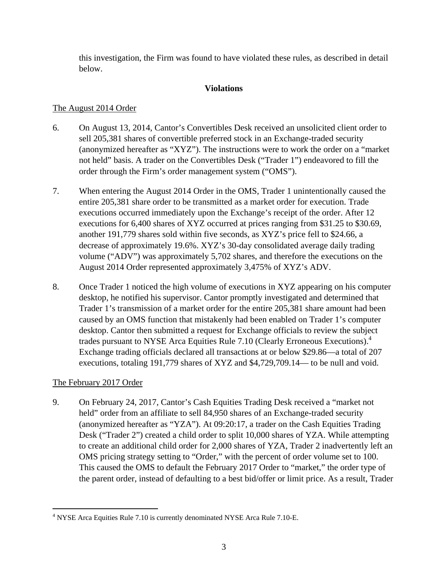this investigation, the Firm was found to have violated these rules, as described in detail below.

# **Violations**

# The August 2014 Order

- 6. On August 13, 2014, Cantor's Convertibles Desk received an unsolicited client order to sell 205,381 shares of convertible preferred stock in an Exchange-traded security (anonymized hereafter as "XYZ"). The instructions were to work the order on a "market not held" basis. A trader on the Convertibles Desk ("Trader 1") endeavored to fill the order through the Firm's order management system ("OMS").
- 7. When entering the August 2014 Order in the OMS, Trader 1 unintentionally caused the entire 205,381 share order to be transmitted as a market order for execution. Trade executions occurred immediately upon the Exchange's receipt of the order. After 12 executions for 6,400 shares of XYZ occurred at prices ranging from \$31.25 to \$30.69, another 191,779 shares sold within five seconds, as XYZ's price fell to \$24.66, a decrease of approximately 19.6%. XYZ's 30-day consolidated average daily trading volume ("ADV") was approximately 5,702 shares, and therefore the executions on the August 2014 Order represented approximately 3,475% of XYZ's ADV.
- 8. Once Trader 1 noticed the high volume of executions in XYZ appearing on his computer desktop, he notified his supervisor. Cantor promptly investigated and determined that Trader 1's transmission of a market order for the entire 205,381 share amount had been caused by an OMS function that mistakenly had been enabled on Trader 1's computer desktop. Cantor then submitted a request for Exchange officials to review the subject trades pursuant to NYSE Arca Equities Rule 7.10 (Clearly Erroneous Executions).<sup>4</sup> Exchange trading officials declared all transactions at or below \$29.86—a total of 207 executions, totaling 191,779 shares of XYZ and \$4,729,709.14— to be null and void.

# The February 2017 Order

1

9. On February 24, 2017, Cantor's Cash Equities Trading Desk received a "market not held" order from an affiliate to sell 84,950 shares of an Exchange-traded security (anonymized hereafter as "YZA"). At 09:20:17, a trader on the Cash Equities Trading Desk ("Trader 2") created a child order to split 10,000 shares of YZA. While attempting to create an additional child order for 2,000 shares of YZA, Trader 2 inadvertently left an OMS pricing strategy setting to "Order," with the percent of order volume set to 100. This caused the OMS to default the February 2017 Order to "market," the order type of the parent order, instead of defaulting to a best bid/offer or limit price. As a result, Trader

<sup>&</sup>lt;sup>4</sup> NYSE Arca Equities Rule 7.10 is currently denominated NYSE Arca Rule 7.10-E.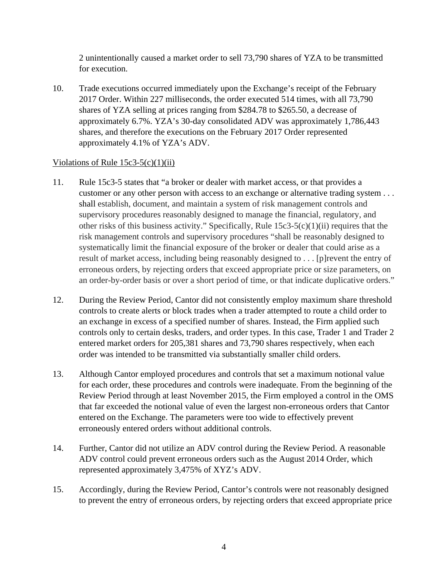2 unintentionally caused a market order to sell 73,790 shares of YZA to be transmitted for execution.

10. Trade executions occurred immediately upon the Exchange's receipt of the February 2017 Order. Within 227 milliseconds, the order executed 514 times, with all 73,790 shares of YZA selling at prices ranging from \$284.78 to \$265.50, a decrease of approximately 6.7%. YZA's 30-day consolidated ADV was approximately 1,786,443 shares, and therefore the executions on the February 2017 Order represented approximately 4.1% of YZA's ADV.

## Violations of Rule  $15c3-5(c)(1)(ii)$

- 11. Rule 15c3-5 states that "a broker or dealer with market access, or that provides a customer or any other person with access to an exchange or alternative trading system . . . shall establish, document, and maintain a system of risk management controls and supervisory procedures reasonably designed to manage the financial, regulatory, and other risks of this business activity." Specifically, Rule 15c3-5(c)(1)(ii) requires that the risk management controls and supervisory procedures "shall be reasonably designed to systematically limit the financial exposure of the broker or dealer that could arise as a result of market access, including being reasonably designed to . . . [p]revent the entry of erroneous orders, by rejecting orders that exceed appropriate price or size parameters, on an order-by-order basis or over a short period of time, or that indicate duplicative orders."
- 12. During the Review Period, Cantor did not consistently employ maximum share threshold controls to create alerts or block trades when a trader attempted to route a child order to an exchange in excess of a specified number of shares. Instead, the Firm applied such controls only to certain desks, traders, and order types. In this case, Trader 1 and Trader 2 entered market orders for 205,381 shares and 73,790 shares respectively, when each order was intended to be transmitted via substantially smaller child orders.
- 13. Although Cantor employed procedures and controls that set a maximum notional value for each order, these procedures and controls were inadequate. From the beginning of the Review Period through at least November 2015, the Firm employed a control in the OMS that far exceeded the notional value of even the largest non-erroneous orders that Cantor entered on the Exchange. The parameters were too wide to effectively prevent erroneously entered orders without additional controls.
- 14. Further, Cantor did not utilize an ADV control during the Review Period. A reasonable ADV control could prevent erroneous orders such as the August 2014 Order, which represented approximately 3,475% of XYZ's ADV.
- 15. Accordingly, during the Review Period, Cantor's controls were not reasonably designed to prevent the entry of erroneous orders, by rejecting orders that exceed appropriate price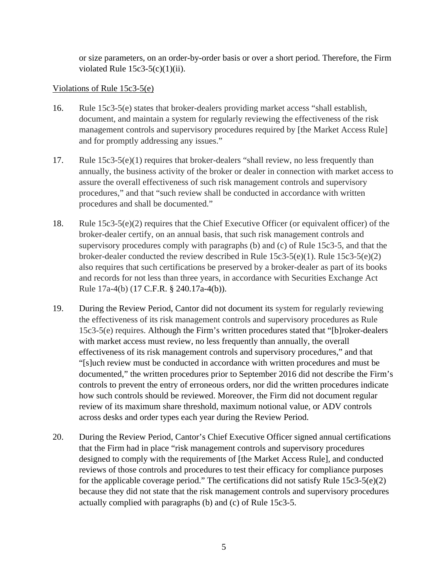or size parameters, on an order-by-order basis or over a short period. Therefore, the Firm violated Rule  $15c3-5(c)(1)(ii)$ .

## Violations of Rule 15c3-5(e)

- 16. Rule 15c3-5(e) states that broker-dealers providing market access "shall establish, document, and maintain a system for regularly reviewing the effectiveness of the risk management controls and supervisory procedures required by [the Market Access Rule] and for promptly addressing any issues."
- 17. Rule 15c3-5(e)(1) requires that broker-dealers "shall review, no less frequently than annually, the business activity of the broker or dealer in connection with market access to assure the overall effectiveness of such risk management controls and supervisory procedures," and that "such review shall be conducted in accordance with written procedures and shall be documented."
- 18. Rule 15c3-5(e)(2) requires that the Chief Executive Officer (or equivalent officer) of the broker-dealer certify, on an annual basis, that such risk management controls and supervisory procedures comply with paragraphs (b) and (c) of Rule 15c3-5, and that the broker-dealer conducted the review described in Rule 15c3-5(e)(1). Rule 15c3-5(e)(2) also requires that such certifications be preserved by a broker-dealer as part of its books and records for not less than three years, in accordance with Securities Exchange Act Rule 17a-4(b) (17 C.F.R. § 240.17a-4(b)).
- 19. During the Review Period, Cantor did not document its system for regularly reviewing the effectiveness of its risk management controls and supervisory procedures as Rule 15c3-5(e) requires. Although the Firm's written procedures stated that "[b]roker-dealers with market access must review, no less frequently than annually, the overall effectiveness of its risk management controls and supervisory procedures," and that "[s]uch review must be conducted in accordance with written procedures and must be documented," the written procedures prior to September 2016 did not describe the Firm's controls to prevent the entry of erroneous orders, nor did the written procedures indicate how such controls should be reviewed. Moreover, the Firm did not document regular review of its maximum share threshold, maximum notional value, or ADV controls across desks and order types each year during the Review Period.
- 20. During the Review Period, Cantor's Chief Executive Officer signed annual certifications that the Firm had in place "risk management controls and supervisory procedures designed to comply with the requirements of [the Market Access Rule], and conducted reviews of those controls and procedures to test their efficacy for compliance purposes for the applicable coverage period." The certifications did not satisfy Rule 15c3-5(e)(2) because they did not state that the risk management controls and supervisory procedures actually complied with paragraphs (b) and (c) of Rule 15c3-5.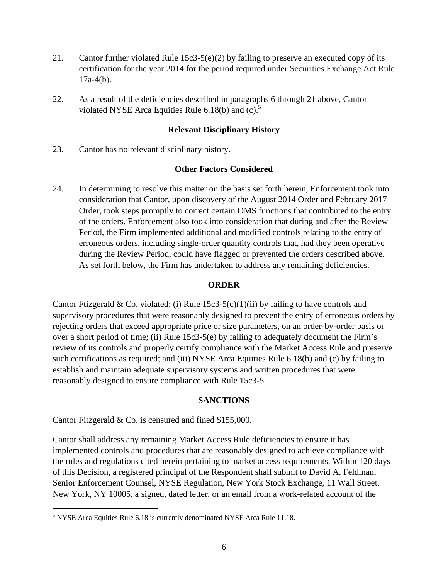- 21. Cantor further violated Rule 15c3-5(e)(2) by failing to preserve an executed copy of its certification for the year 2014 for the period required under Securities Exchange Act Rule  $17a-4(b)$ .
- 22. As a result of the deficiencies described in paragraphs 6 through 21 above, Cantor violated NYSE Arca Equities Rule 6.18(b) and  $(c)$ .<sup>5</sup>

## **Relevant Disciplinary History**

23. Cantor has no relevant disciplinary history.

### **Other Factors Considered**

24. In determining to resolve this matter on the basis set forth herein, Enforcement took into consideration that Cantor, upon discovery of the August 2014 Order and February 2017 Order, took steps promptly to correct certain OMS functions that contributed to the entry of the orders. Enforcement also took into consideration that during and after the Review Period, the Firm implemented additional and modified controls relating to the entry of erroneous orders, including single-order quantity controls that, had they been operative during the Review Period, could have flagged or prevented the orders described above. As set forth below, the Firm has undertaken to address any remaining deficiencies.

### **ORDER**

Cantor Ftizgerald & Co. violated: (i) Rule  $15c3-5(c)(1)(ii)$  by failing to have controls and supervisory procedures that were reasonably designed to prevent the entry of erroneous orders by rejecting orders that exceed appropriate price or size parameters, on an order-by-order basis or over a short period of time; (ii) Rule 15c3-5(e) by failing to adequately document the Firm's review of its controls and properly certify compliance with the Market Access Rule and preserve such certifications as required; and (iii) NYSE Arca Equities Rule 6.18(b) and (c) by failing to establish and maintain adequate supervisory systems and written procedures that were reasonably designed to ensure compliance with Rule 15c3-5.

### **SANCTIONS**

Cantor Fitzgerald & Co. is censured and fined \$155,000.

 $\overline{a}$ 

Cantor shall address any remaining Market Access Rule deficiencies to ensure it has implemented controls and procedures that are reasonably designed to achieve compliance with the rules and regulations cited herein pertaining to market access requirements. Within 120 days of this Decision, a registered principal of the Respondent shall submit to David A. Feldman, Senior Enforcement Counsel, NYSE Regulation, New York Stock Exchange, 11 Wall Street, New York, NY 10005, a signed, dated letter, or an email from a work-related account of the

 $<sup>5</sup>$  NYSE Arca Equities Rule 6.18 is currently denominated NYSE Arca Rule 11.18.</sup>